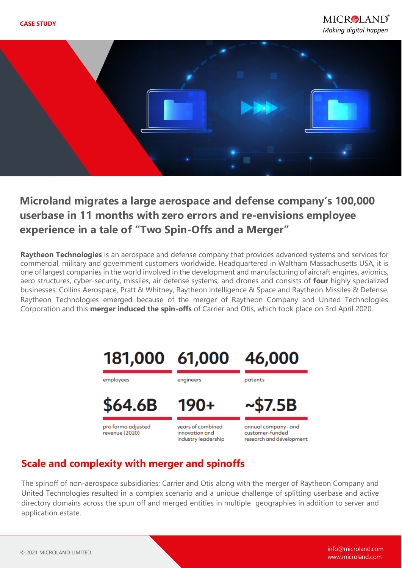

# **Microland migrates a large aerospace and defense company's 100,000 userbase in 11 months with zero errors and re-envisions employee experience in a tale of "Two Spin-Offs and a Merger"**

**Raytheon Technologies** is an aerospace and defense company that provides advanced systems and services for commercial, military and government customers worldwide. Headquartered in Waltham Massachusetts USA, it is one of largest companies in the world involved in the development and manufacturing of aircraft engines, avionics, aero structures, cyber-security, missiles, air defense systems, and drones and consists of **four** highly specialized businesses: Collins Aerospace, Pratt & Whitney, Raytheon Intelligence & Space and Raytheon Missiles & Defense. Raytheon Technologies emerged because of the merger of Raytheon Company and United Technologies Corporation and this **merger induced the spin-offs** of Carrier and Otis, which took place on 3rd April 2020.



### **Scale and complexity with merger and spinoffs**

The spinoff of non-aerospace subsidiaries; Carrier and Otis along with the merger of Raytheon Company and United Technologies resulted in a complex scenario and a unique challenge of splitting userbase and active directory domains across the spun off and merged entities in multiple geographies in addition to server and application estate.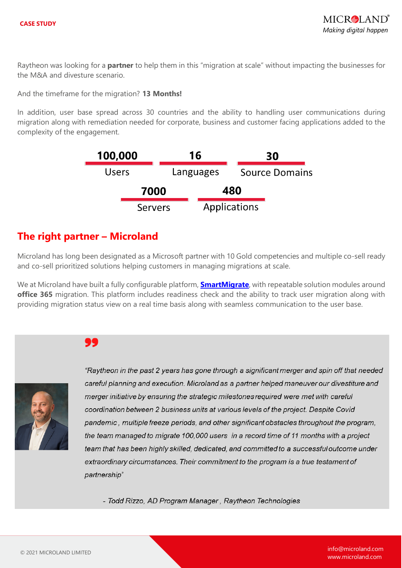Raytheon was looking for a **partner** to help them in this "migration at scale" without impacting the businesses for the M&A and divesture scenario.

And the timeframe for the migration? **13 Months!**

In addition, user base spread across 30 countries and the ability to handling user communications during migration along with remediation needed for corporate, business and customer facing applications added to the complexity of the engagement.

| 100,000        |  | 16        | 30                    |  |
|----------------|--|-----------|-----------------------|--|
| <b>Users</b>   |  | Languages | <b>Source Domains</b> |  |
| 7000           |  |           | 480                   |  |
| <b>Servers</b> |  |           | Applications          |  |

### **The right partner – Microland**

Microland has long been designated as a Microsoft partner with 10 Gold competencies and multiple co-sell ready and co-sell prioritized solutions helping customers in managing migrations at scale.

We at Microland have built a fully configurable platform, **[SmartMigrate](https://www.microland.com/digital/digital-workplace/smartmigrate)**, with repeatable solution modules around **office 365** migration. This platform includes readiness check and the ability to track user migration along with providing migration status view on a real time basis along with seamless communication to the user base.

### 99



"Raytheon in the past 2 years has gone through a significant merger and spin off that needed careful planning and execution. Microland as a partner helped maneuver our divestiture and merger initiative by ensuring the strategic milestones required were met with careful coordination between 2 business units at various levels of the project. Despite Covid pandemic, multiple freeze periods, and other significant obstacles throughout the program, the team managed to migrate 100,000 users in a record time of 11 months with a project team that has been highly skilled, dedicated, and committed to a successful outcome under extraordinary circumstances. Their commitment to the program is a true testament of partnership"

- Todd Rizzo, AD Program Manager, Raytheon Technologies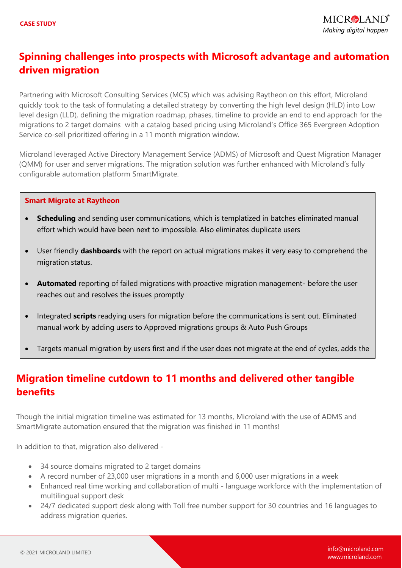# **Spinning challenges into prospects with Microsoft advantage and automation driven migration**

Partnering with Microsoft Consulting Services (MCS) which was advising Raytheon on this effort, Microland quickly took to the task of formulating a detailed strategy by converting the high level design (HLD) into Low level design (LLD), defining the migration roadmap, phases, timeline to provide an end to end approach for the migrations to 2 target domains with a catalog based pricing using Microland's Office 365 Evergreen Adoption Service co-sell prioritized offering in a 11 month migration window.

Microland leveraged Active Directory Management Service (ADMS) of Microsoft and Quest Migration Manager (QMM) for user and server migrations. The migration solution was further enhanced with Microland's fully configurable automation platform SmartMigrate.

#### **Smart Migrate at Raytheon**

- **Scheduling** and sending user communications, which is templatized in batches eliminated manual effort which would have been next to impossible. Also eliminates duplicate users
- User friendly **dashboards** with the report on actual migrations makes it very easy to comprehend the migration status.
- **Automated** reporting of failed migrations with proactive migration management- before the user reaches out and resolves the issues promptly
- Integrated **scripts** readying users for migration before the communications is sent out. Eliminated manual work by adding users to Approved migrations groups & Auto Push Groups
- Targets manual migration by users first and if the user does not migrate at the end of cycles, adds the

## **Migration timeline cutdown to 11 months and delivered other tangible benefits**

Though the initial migration timeline was estimated for 13 months, Microland with the use of ADMS and SmartMigrate automation ensured that the migration was finished in 11 months!

In addition to that, migration also delivered -

user to the **Auto Push** groups

- 34 source domains migrated to 2 target domains
- A record number of 23,000 user migrations in a month and 6,000 user migrations in a week
- Enhanced real time working and collaboration of multi language workforce with the implementation of multilingual support desk
- 24/7 dedicated support desk along with Toll free number support for 30 countries and 16 languages to address migration queries.